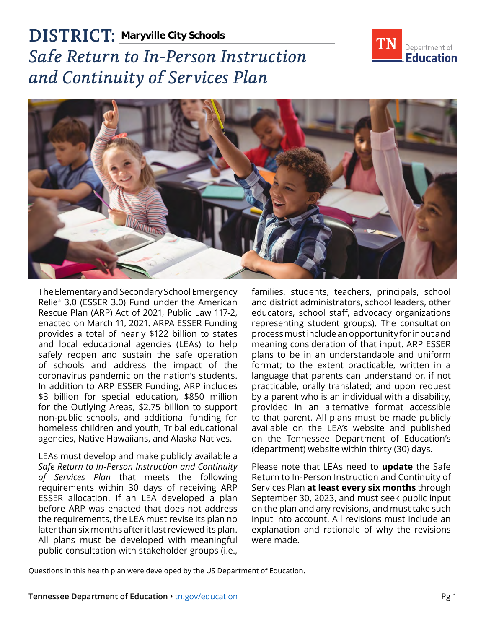

# **DISTRICT: Maryville City Schools***Safe Return to In-Person Instruction and Continuity of Services Plan*



The Elementary and Secondary School Emergency Relief 3.0 (ESSER 3.0) Fund under the American Rescue Plan (ARP) Act of 2021, Public Law 117-2, enacted on March 11, 2021. ARPA ESSER Funding provides a total of nearly \$122 billion to states and local educational agencies (LEAs) to help safely reopen and sustain the safe operation of schools and address the impact of the coronavirus pandemic on the nation's students. In addition to ARP ESSER Funding, ARP includes \$3 billion for special education, \$850 million for the Outlying Areas, \$2.75 billion to support non-public schools, and additional funding for homeless children and youth, Tribal educational agencies, Native Hawaiians, and Alaska Natives.

LEAs must develop and make publicly available a *Safe Return to In-Person Instruction and Continuity of Services Plan* that meets the following requirements within 30 days of receiving ARP ESSER allocation. If an LEA developed a plan before ARP was enacted that does not address the requirements, the LEA must revise its plan no later than six months after it last reviewed its plan. All plans must be developed with meaningful public consultation with stakeholder groups (i.e.,

families, students, teachers, principals, school and district administrators, school leaders, other educators, school staff, advocacy organizations representing student groups). The consultation process must include an opportunity for input and meaning consideration of that input. ARP ESSER plans to be in an understandable and uniform format; to the extent practicable, written in a language that parents can understand or, if not practicable, orally translated; and upon request by a parent who is an individual with a disability, provided in an alternative format accessible to that parent. All plans must be made publicly available on the LEA's website and published on the Tennessee Department of Education's (department) website within thirty (30) days.

Please note that LEAs need to **update** the Safe Return to In-Person Instruction and Continuity of Services Plan **at least every six months** through September 30, 2023, and must seek public input on the plan and any revisions, and must take such input into account. All revisions must include an explanation and rationale of why the revisions were made.

Questions in this health plan were developed by the US Department of Education.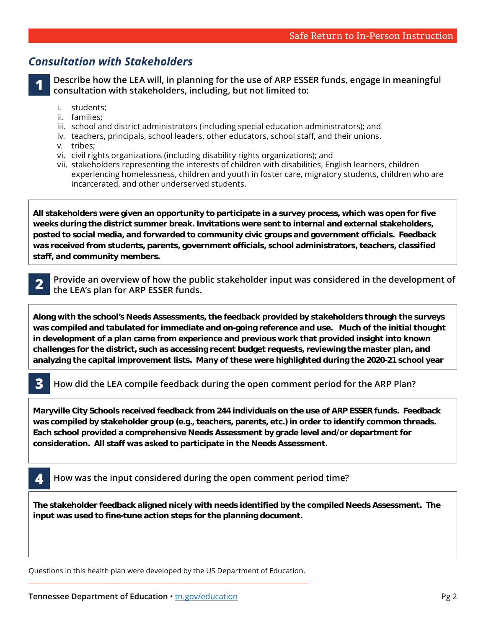## *Consultation with Stakeholders*

**1 Describe how the LEA will, in planning for the use of ARP ESSER funds, engage in meaningful consultation with stakeholders, including, but not limited to:** 

- i students:
- ii. families;
- iii. school and district administrators (including special education administrators); and
- iv. teachers, principals, school leaders, other educators, school staff, and their unions.
- v. tribes;
- vi. civil rights organizations (including disability rights organizations); and
- vii. stakeholders representing the interests of children with disabilities, English learners, children experiencing homelessness, children and youth in foster care, migratory students, children who are incarcerated, and other underserved students.

**All stakeholders were given an opportunity to participate in a survey process, which was open for five weeks during the district summer break. Invitations were sent to internal and external stakeholders, posted to social media, and forwarded to community civic groups and government officials. Feedback was received from students, parents, government officials, school administrators, teachers, classified staff, and community members.** 

**Our district has an abundance of communication tools in place and all were used to share the proposed** 

**2 Provide an overview of how the public stakeholder input was considered in the development of the IFA's plan for ARP FSSER funds. EXECUTE:** the LEA's plan for ARP ESSER funds. **Each school principal led an instructional and site review to identify areas of need through a** 

**comprehensive Needs Assessment. All departments and programming, including ELL, SPED, RTI, CTE,**  Along with the school's Needs Assessments, the feedback provided by stakeholders through the surveys and analyzed the surveys **analyzed in the surveys**  $\cdot$ was compiled and tabulated for immediate and on-going reference and use. Much of the initial thought<br>. **fulfilled based on a plan came from** challenges for the district, such as accessing recent budget requests, reviewing the master plan, and **challenges** analyzing the capital improvement lists. Many of these were highlighted during the 2020-21 school year  $\,$ **in development of a plan came from experience and previous work that provided insight into known** 

#### **3** How did the LEA compile feedback during the open comment period for the ARP Plan? **partners informed and knowledgeable about processes. District communication to all employees occur The Needs Assessment and the survey data will continue to inform our decision as well as guide our**

**Marwille City Schools received feedback from 244 individuals on the use of ARP ESSER funds. Feedback** was compiled by stakeholder group (e.g., teachers, parents, etc.) in order to identify common threads **Fach school provided a comprehensive Needs Assessment by grade level and/or department for** consideration. All staff was asked to participate in the Needs Assessment. Maryville City Schools received feedback from 244 individuals on the use of ARP ESSER funds. Feedback was compiled by stakeholder group (e.g., teachers, parents, etc.) in order to identify common threads. **wisely spend those monies as well to best meet the needs of all students. Each school provided a comprehensive Needs Assessment by grade level and/or department for** 

**School administrators convey a large portion of communication through multiple methods and avenues.** 

**and have since risen to the top of our priority list. For instance, HVAC work in some school buildings was** 

**4 How was the input considered during the open comment period time?** 

**The stakeholder feedback aligned nicely with needs identified by the compiled Needs Assessment. The input was used to fine-tune action steps for the planning document.** 

Questions in this health plan were developed by the US Department of Education.